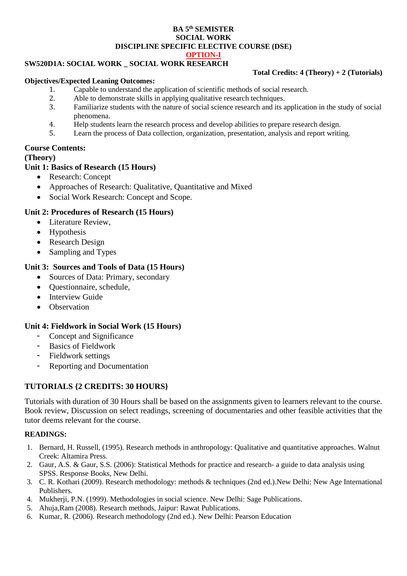#### **BA 5 th SEMISTER SOCIAL WORK DISCIPLINE SPECIFIC ELECTIVE COURSE (DSE) OPTION-I**

## **SW520D1A: SOCIAL WORK \_ SOCIAL WORK RESEARCH**

#### **Objectives/Expected Leaning Outcomes:**

### **Total Credits: 4 (Theory) + 2 (Tutorials)**

- 1. Capable to understand the application of scientific methods of social research.
- 2. Able to demonstrate skills in applying qualitative research techniques.
- 3. Familiarize students with the nature of social science research and its application in the study of social phenomena.
- 4. Help students learn the research process and develop abilities to prepare research design.
- 5. Learn the process of Data collection, organization, presentation, analysis and report writing.

## **Course Contents:**

### **(Theory)**

## **Unit 1: Basics of Research (15 Hours)**

- Research: Concept
- Approaches of Research: Qualitative, Quantitative and Mixed
- Social Work Research: Concept and Scope.

## **Unit 2: Procedures of Research (15 Hours)**

- Literature Review,
- Hypothesis
- Research Design
- Sampling and Types

## **Unit 3: Sources and Tools of Data (15 Hours)**

- Sources of Data: Primary, secondary
- Ouestionnaire, schedule,
- Interview Guide
- Observation

## **Unit 4: Fieldwork in Social Work (15 Hours)**

- Concept and Significance
- Basics of Fieldwork
- Fieldwork settings
- Reporting and Documentation

# **TUTORIALS {2 CREDITS: 30 HOURS}**

Tutorials with duration of 30 Hours shall be based on the assignments given to learners relevant to the course. Book review, Discussion on select readings, screening of documentaries and other feasible activities that the tutor deems relevant for the course.

## **READINGS:**

- 1. Bernard, H. Russell, (1995). Research methods in anthropology: Qualitative and quantitative approaches. Walnut Creek: Altamira Press.
- 2. Gaur, A.S. & Gaur, S.S. (2006): Statistical Methods for practice and research- a guide to data analysis using SPSS. Response Books, New Delhi.
- 3. C. R. Kothari (2009). Research methodology: methods & techniques (2nd ed.).New Delhi: New Age International Publishers.
- 4. Mukherji, P.N. (1999). Methodologies in social science. New Delhi: Sage Publications.
- 5. Ahuja,Ram (2008). Research methods, Jaipur: Rawat Publications.
- 6. Kumar, R. (2006). Research methodology (2nd ed.). New Delhi: Pearson Education